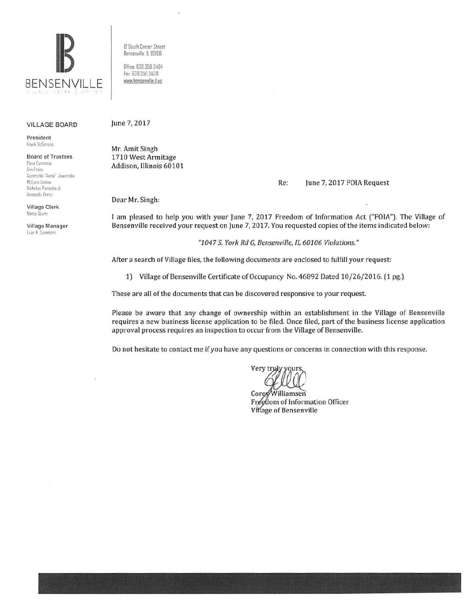

## VILLAGE BOARD

President Frank DeSimone

Board of Trustees **ru ... a Carmona**  Ann Franz  $A$ gnes;ka "Annie" Jaworska

McLane. Loma» II chdas Pan•cola ,Jr Armando Perez

Village Clerk Nancy Ilumn

Village Manager lvan K. Summer'..

12 South Center Street Bensenville, IL 60I06

Office 630 350 3404 fax 630 350 3438 1•Mw.bcnsenville.1i us

June 7, 2017

Mr. Amit Singh 1710 West Armitage Addison, Illinois 60101

Re: June 7, 2017 FOIA Request

Dear Mr. Singh:

I am pleased to help you with your June 7, 2017 Freedom of Information Act ("FOIA"). The Village of Bensenville received your request on June 7, 2017. You requested copies of the items indicated below:

"1047 S. York Rd G, Bensenville, IL 60106 Violations."

After a search of Village files, the following documents are enclosed to fulfill your request:

1) Village of Bensenville Certificate of Occupancy No. 46892 Dated 10/26/2016. (1 pg.)

These are all of the documents that can be discovered responsive to your request.

Please be aware that any change of ownership within an establishment in the Village of Bensenville requires a new business license application to be filed. Once filed, part of the business license application approval process requires an inspection to occur from the Village of Bensenville.

Do not hesitate to contact me if you have any questions or concerns in connection with this response.

Very truly

Corex/Williamsen Freedom of Information Officer Village of Bensenville